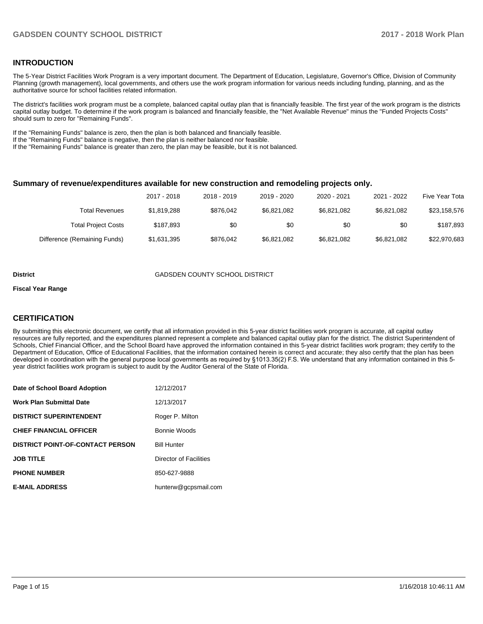## **INTRODUCTION**

The 5-Year District Facilities Work Program is a very important document. The Department of Education, Legislature, Governor's Office, Division of Community Planning (growth management), local governments, and others use the work program information for various needs including funding, planning, and as the authoritative source for school facilities related information.

The district's facilities work program must be a complete, balanced capital outlay plan that is financially feasible. The first year of the work program is the districts capital outlay budget. To determine if the work program is balanced and financially feasible, the "Net Available Revenue" minus the "Funded Projects Costs" should sum to zero for "Remaining Funds".

If the "Remaining Funds" balance is zero, then the plan is both balanced and financially feasible.

If the "Remaining Funds" balance is negative, then the plan is neither balanced nor feasible.

If the "Remaining Funds" balance is greater than zero, the plan may be feasible, but it is not balanced.

#### **Summary of revenue/expenditures available for new construction and remodeling projects only.**

| Five Year Tota | 2021 - 2022 | 2020 - 2021 | 2019 - 2020 | 2018 - 2019 | 2017 - 2018 |                              |
|----------------|-------------|-------------|-------------|-------------|-------------|------------------------------|
| \$23,158,576   | \$6.821.082 | \$6.821.082 | \$6.821.082 | \$876.042   | \$1.819.288 | Total Revenues               |
| \$187.893      | \$0         | \$0         | \$0         | \$0         | \$187.893   | <b>Total Project Costs</b>   |
| \$22,970,683   | \$6,821,082 | \$6,821,082 | \$6,821,082 | \$876.042   | \$1,631,395 | Difference (Remaining Funds) |

#### **District** GADSDEN COUNTY SCHOOL DISTRICT

#### **Fiscal Year Range**

## **CERTIFICATION**

By submitting this electronic document, we certify that all information provided in this 5-year district facilities work program is accurate, all capital outlay resources are fully reported, and the expenditures planned represent a complete and balanced capital outlay plan for the district. The district Superintendent of Schools, Chief Financial Officer, and the School Board have approved the information contained in this 5-year district facilities work program; they certify to the Department of Education, Office of Educational Facilities, that the information contained herein is correct and accurate; they also certify that the plan has been developed in coordination with the general purpose local governments as required by §1013.35(2) F.S. We understand that any information contained in this 5year district facilities work program is subject to audit by the Auditor General of the State of Florida.

| Date of School Board Adoption           | 12/12/2017             |
|-----------------------------------------|------------------------|
| Work Plan Submittal Date                | 12/13/2017             |
| <b>DISTRICT SUPERINTENDENT</b>          | Roger P. Milton        |
| <b>CHIEF FINANCIAL OFFICER</b>          | Bonnie Woods           |
| <b>DISTRICT POINT-OF-CONTACT PERSON</b> | <b>Bill Hunter</b>     |
| <b>JOB TITLE</b>                        | Director of Facilities |
| <b>PHONE NUMBER</b>                     | 850-627-9888           |
| <b>E-MAIL ADDRESS</b>                   | hunterw@gcpsmail.com   |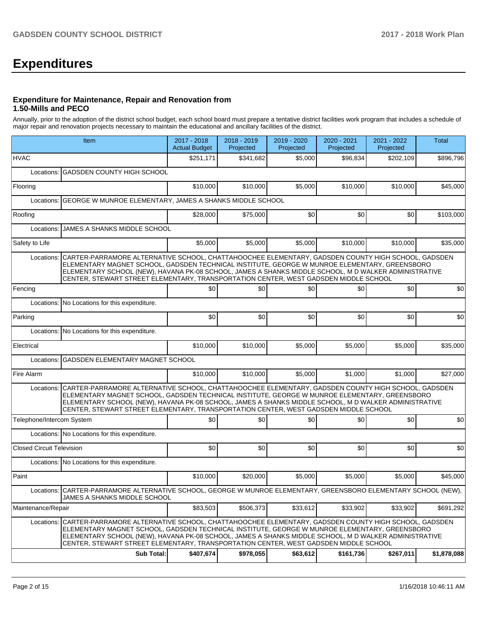# **Expenditures**

#### **Expenditure for Maintenance, Repair and Renovation from 1.50-Mills and PECO**

Annually, prior to the adoption of the district school budget, each school board must prepare a tentative district facilities work program that includes a schedule of major repair and renovation projects necessary to maintain the educational and ancillary facilities of the district.

|                                  | Item                                                                                                                                                                                                                                                                                                                                                                                                 | 2017 - 2018<br><b>Actual Budget</b> | 2018 - 2019<br>Projected | 2019 - 2020<br>Projected | 2020 - 2021<br>Projected | 2021 - 2022<br>Projected | Total       |
|----------------------------------|------------------------------------------------------------------------------------------------------------------------------------------------------------------------------------------------------------------------------------------------------------------------------------------------------------------------------------------------------------------------------------------------------|-------------------------------------|--------------------------|--------------------------|--------------------------|--------------------------|-------------|
| <b>HVAC</b>                      |                                                                                                                                                                                                                                                                                                                                                                                                      | \$251,171                           | \$341,682                | \$5.000                  | \$96,834                 | \$202,109                | \$896.796   |
|                                  | Locations: GADSDEN COUNTY HIGH SCHOOL                                                                                                                                                                                                                                                                                                                                                                |                                     |                          |                          |                          |                          |             |
| Flooring                         |                                                                                                                                                                                                                                                                                                                                                                                                      | \$10,000                            | \$10,000                 | \$5,000                  | \$10,000                 | \$10,000                 | \$45,000    |
|                                  | Locations: GEORGE W MUNROE ELEMENTARY, JAMES A SHANKS MIDDLE SCHOOL                                                                                                                                                                                                                                                                                                                                  |                                     |                          |                          |                          |                          |             |
| Roofing                          |                                                                                                                                                                                                                                                                                                                                                                                                      | \$28,000                            | \$75,000                 | \$0                      | \$0                      | \$0                      | \$103,000   |
| Locations:                       | JAMES A SHANKS MIDDLE SCHOOL                                                                                                                                                                                                                                                                                                                                                                         |                                     |                          |                          |                          |                          |             |
| Safety to Life                   |                                                                                                                                                                                                                                                                                                                                                                                                      | \$5,000                             | \$5,000                  | \$5,000                  | \$10,000                 | \$10,000                 | \$35,000    |
| Locations:                       | CARTER-PARRAMORE ALTERNATIVE SCHOOL, CHATTAHOOCHEE ELEMENTARY, GADSDEN COUNTY HIGH SCHOOL, GADSDEN<br>ELEMENTARY MAGNET SCHOOL, GADSDEN TECHNICAL INSTITUTE, GEORGE W MUNROE ELEMENTARY, GREENSBORO<br>ELEMENTARY SCHOOL (NEW), HAVANA PK-08 SCHOOL, JAMES A SHANKS MIDDLE SCHOOL, M D WALKER ADMINISTRATIVE<br>CENTER, STEWART STREET ELEMENTARY, TRANSPORTATION CENTER, WEST GADSDEN MIDDLE SCHOOL |                                     |                          |                          |                          |                          |             |
| Fencing                          |                                                                                                                                                                                                                                                                                                                                                                                                      | \$0                                 | \$0                      | \$0                      | \$0                      | \$0                      | \$0         |
|                                  | Locations: No Locations for this expenditure.                                                                                                                                                                                                                                                                                                                                                        |                                     |                          |                          |                          |                          |             |
| Parking                          |                                                                                                                                                                                                                                                                                                                                                                                                      | \$0                                 | \$0                      | \$0                      | \$0                      | \$0                      | \$0         |
|                                  | Locations: No Locations for this expenditure.                                                                                                                                                                                                                                                                                                                                                        |                                     |                          |                          |                          |                          |             |
| Electrical                       |                                                                                                                                                                                                                                                                                                                                                                                                      | \$10,000                            | \$10,000                 | \$5.000                  | \$5,000                  | \$5.000                  | \$35,000    |
| Locations:                       | GADSDEN ELEMENTARY MAGNET SCHOOL                                                                                                                                                                                                                                                                                                                                                                     |                                     |                          |                          |                          |                          |             |
| Fire Alarm                       |                                                                                                                                                                                                                                                                                                                                                                                                      | \$10,000                            | \$10,000                 | \$5,000                  | \$1,000                  | \$1,000                  | \$27,000    |
| Locations:                       | CARTER-PARRAMORE ALTERNATIVE SCHOOL, CHATTAHOOCHEE ELEMENTARY, GADSDEN COUNTY HIGH SCHOOL, GADSDEN<br>ELEMENTARY MAGNET SCHOOL, GADSDEN TECHNICAL INSTITUTE, GEORGE W MUNROE ELEMENTARY, GREENSBORO<br>ELEMENTARY SCHOOL (NEW), HAVANA PK-08 SCHOOL, JAMES A SHANKS MIDDLE SCHOOL, M D WALKER ADMINISTRATIVE<br>CENTER, STEWART STREET ELEMENTARY, TRANSPORTATION CENTER, WEST GADSDEN MIDDLE SCHOOL |                                     |                          |                          |                          |                          |             |
| Telephone/Intercom System        |                                                                                                                                                                                                                                                                                                                                                                                                      | \$0                                 | \$0                      | \$0                      | \$0                      | \$0                      | \$0         |
|                                  | Locations: No Locations for this expenditure.                                                                                                                                                                                                                                                                                                                                                        |                                     |                          |                          |                          |                          |             |
| <b>Closed Circuit Television</b> |                                                                                                                                                                                                                                                                                                                                                                                                      | \$0                                 | \$0                      | \$0                      | \$0                      | \$0                      | \$0         |
|                                  | Locations: No Locations for this expenditure.                                                                                                                                                                                                                                                                                                                                                        |                                     |                          |                          |                          |                          |             |
| Paint                            |                                                                                                                                                                                                                                                                                                                                                                                                      | \$10,000                            | \$20.000                 | \$5,000                  | \$5,000                  | \$5,000                  | \$45,000    |
|                                  | Locations: CARTER-PARRAMORE ALTERNATIVE SCHOOL, GEORGE W MUNROE ELEMENTARY, GREENSBORO ELEMENTARY SCHOOL (NEW),<br>JAMES A SHANKS MIDDLE SCHOOL                                                                                                                                                                                                                                                      |                                     |                          |                          |                          |                          |             |
| Maintenance/Repair               |                                                                                                                                                                                                                                                                                                                                                                                                      | \$83,503                            | \$506,373                | \$33,612                 | \$33,902                 | \$33,902                 | \$691,292   |
| Locations:                       | CARTER-PARRAMORE ALTERNATIVE SCHOOL, CHATTAHOOCHEE ELEMENTARY, GADSDEN COUNTY HIGH SCHOOL, GADSDEN<br>ELEMENTARY MAGNET SCHOOL, GADSDEN TECHNICAL INSTITUTE, GEORGE W MUNROE ELEMENTARY, GREENSBORO<br>ELEMENTARY SCHOOL (NEW), HAVANA PK-08 SCHOOL, JAMES A SHANKS MIDDLE SCHOOL, M D WALKER ADMINISTRATIVE<br>CENTER, STEWART STREET ELEMENTARY, TRANSPORTATION CENTER, WEST GADSDEN MIDDLE SCHOOL |                                     |                          |                          |                          |                          |             |
|                                  | <b>Sub Total:</b>                                                                                                                                                                                                                                                                                                                                                                                    | \$407,674                           | \$978,055                | \$63,612                 | \$161,736                | \$267,011                | \$1,878,088 |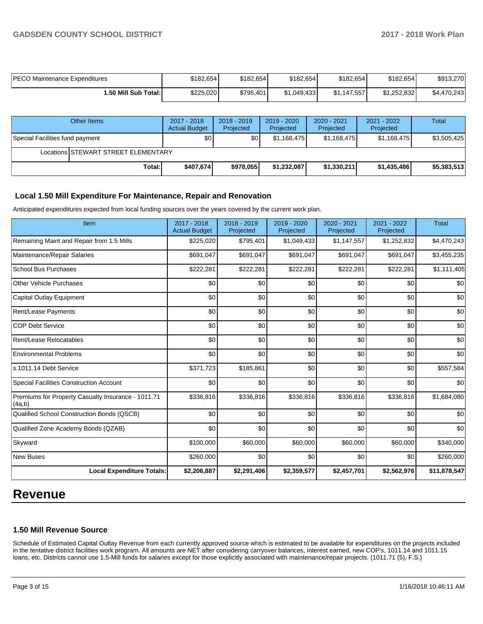| <b>PECO Maintenance Expenditures</b> | \$182,654 | \$182,654 | \$182.654   | \$182,654   | \$182.654   | \$913.270   |
|--------------------------------------|-----------|-----------|-------------|-------------|-------------|-------------|
| ا:50 Mill Sub Total.                 | \$225,020 | \$795,401 | \$1.049.433 | \$1,147,557 | \$1,252,832 | \$4,470,243 |

|                                 | Other Items                         | 2017 - 2018<br><b>Actual Budget</b> | $2018 - 2019$<br>Projected | $2019 - 2020$<br>Projected | $2020 - 2021$<br>Projected | 2021 - 2022<br>Projected | Total       |  |  |
|---------------------------------|-------------------------------------|-------------------------------------|----------------------------|----------------------------|----------------------------|--------------------------|-------------|--|--|
| Special Facilities fund payment |                                     | \$0                                 | \$0                        | \$1,168,475                | \$1,168,475                | \$1,168,475              | \$3,505,425 |  |  |
|                                 | Locations STEWART STREET ELEMENTARY |                                     |                            |                            |                            |                          |             |  |  |
|                                 | Total:                              | \$407,674]                          | \$978,055                  | \$1,232,087                | \$1,330,211                | \$1,435,486              | \$5,383,513 |  |  |

## **Local 1.50 Mill Expenditure For Maintenance, Repair and Renovation**

Anticipated expenditures expected from local funding sources over the years covered by the current work plan.

| Item                                                         | 2017 - 2018<br><b>Actual Budget</b> | 2018 - 2019<br>Projected | 2019 - 2020<br>Projected | 2020 - 2021<br>Projected | 2021 - 2022<br>Projected | <b>Total</b> |
|--------------------------------------------------------------|-------------------------------------|--------------------------|--------------------------|--------------------------|--------------------------|--------------|
| Remaining Maint and Repair from 1.5 Mills                    | \$225,020                           | \$795,401                | \$1,049,433              | \$1,147,557              | \$1,252,832              | \$4,470,243  |
| Maintenance/Repair Salaries                                  | \$691,047                           | \$691,047                | \$691,047                | \$691,047                | \$691,047                | \$3,455,235  |
| <b>School Bus Purchases</b>                                  | \$222,281                           | \$222,281                | \$222,281                | \$222,281                | \$222,281                | \$1,111,405  |
| <b>Other Vehicle Purchases</b>                               | \$0                                 | \$0                      | \$0                      | \$0                      | \$0                      | \$0          |
| <b>Capital Outlay Equipment</b>                              | \$0                                 | \$0                      | \$0                      | \$0                      | \$0                      | \$0          |
| Rent/Lease Payments                                          | \$0                                 | \$0                      | \$0                      | \$0                      | \$0                      | \$0          |
| <b>COP Debt Service</b>                                      | \$0                                 | \$0                      | \$0                      | \$0                      | \$0                      | \$0          |
| Rent/Lease Relocatables                                      | \$0                                 | \$0                      | \$0                      | \$0                      | \$0                      | \$0          |
| <b>Environmental Problems</b>                                | \$0                                 | \$0                      | \$0                      | \$0                      | \$0                      | \$0          |
| s.1011.14 Debt Service                                       | \$371,723                           | \$185,861                | \$0                      | \$0                      | \$0                      | \$557,584    |
| <b>Special Facilities Construction Account</b>               | \$0                                 | \$0                      | \$0                      | \$0                      | \$0                      | \$0          |
| Premiums for Property Casualty Insurance - 1011.71<br>(4a,b) | \$336,816                           | \$336,816                | \$336,816                | \$336,816                | \$336,816                | \$1,684,080  |
| Qualified School Construction Bonds (QSCB)                   | \$0                                 | \$0                      | \$0                      | \$0                      | \$0                      | \$0          |
| Qualified Zone Academy Bonds (QZAB)                          | \$0                                 | \$0                      | \$0                      | \$0                      | \$0                      | \$0          |
| Skyward                                                      | \$100,000                           | \$60,000                 | \$60,000                 | \$60,000                 | \$60,000                 | \$340,000    |
| <b>New Buses</b>                                             | \$260,000                           | \$0                      | \$0                      | \$0                      | \$0                      | \$260,000    |
| <b>Local Expenditure Totals:</b>                             | \$2,206,887                         | \$2,291,406              | \$2,359,577              | \$2,457,701              | \$2,562,976              | \$11,878,547 |

## **Revenue**

## **1.50 Mill Revenue Source**

Schedule of Estimated Capital Outlay Revenue from each currently approved source which is estimated to be available for expenditures on the projects included in the tentative district facilities work program. All amounts are NET after considering carryover balances, interest earned, new COP's, 1011.14 and 1011.15 loans, etc. Districts cannot use 1.5-Mill funds for salaries except for those explicitly associated with maintenance/repair projects. (1011.71 (5), F.S.)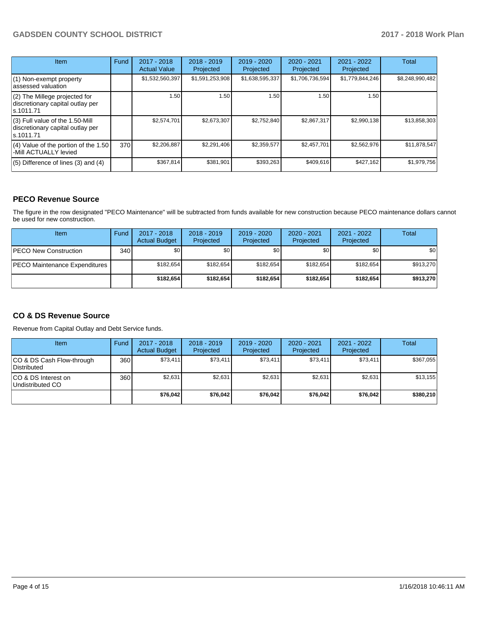| <b>Item</b>                                                                         | Fund | $2017 - 2018$<br><b>Actual Value</b> | $2018 - 2019$<br>Projected | $2019 - 2020$<br>Projected | $2020 - 2021$<br>Projected | 2021 - 2022<br>Projected | <b>Total</b>    |
|-------------------------------------------------------------------------------------|------|--------------------------------------|----------------------------|----------------------------|----------------------------|--------------------------|-----------------|
| (1) Non-exempt property<br>lassessed valuation                                      |      | \$1,532,560,397                      | \$1,591,253,908            | \$1,638,595,337            | \$1,706,736,594            | \$1,779,844,246          | \$8,248,990,482 |
| $(2)$ The Millege projected for<br>discretionary capital outlay per<br>ls.1011.71   |      | 1.50                                 | 1.50                       | 1.50                       | 1.50                       | 1.50                     |                 |
| $(3)$ Full value of the 1.50-Mill<br>discretionary capital outlay per<br>ls.1011.71 |      | \$2,574,701                          | \$2,673,307                | \$2,752,840                | \$2,867,317                | \$2,990,138              | \$13,858,303    |
| (4) Value of the portion of the 1.50<br>-Mill ACTUALLY levied                       | 370  | \$2,206,887                          | \$2,291,406                | \$2,359,577                | \$2,457,701                | \$2,562,976              | \$11,878,547    |
| $(5)$ Difference of lines $(3)$ and $(4)$                                           |      | \$367,814                            | \$381,901                  | \$393,263                  | \$409,616                  | \$427,162                | \$1,979,756     |

## **PECO Revenue Source**

The figure in the row designated "PECO Maintenance" will be subtracted from funds available for new construction because PECO maintenance dollars cannot be used for new construction.

| Item                          | Fund             | $2017 - 2018$<br><b>Actual Budget</b> | $2018 - 2019$<br>Projected | 2019 - 2020<br>Projected | $2020 - 2021$<br>Projected | $2021 - 2022$<br>Projected | <b>Total</b> |
|-------------------------------|------------------|---------------------------------------|----------------------------|--------------------------|----------------------------|----------------------------|--------------|
| <b>IPECO New Construction</b> | 340 <sup>1</sup> | \$0                                   | \$0 <sub>1</sub>           | \$0                      | \$0                        | \$0                        | <b>\$01</b>  |
| PECO Maintenance Expenditures |                  | \$182.654                             | \$182,654                  | \$182.654                | \$182.654                  | \$182.654                  | \$913,270    |
|                               |                  | \$182.654                             | \$182.654                  | \$182.654                | \$182.654                  | \$182.654                  | \$913,270    |

## **CO & DS Revenue Source**

Revenue from Capital Outlay and Debt Service funds.

| Item                                      | Fund | $2017 - 2018$<br><b>Actual Budget</b> | $2018 - 2019$<br>Projected | 2019 - 2020<br>Projected | $2020 - 2021$<br>Projected | $2021 - 2022$<br>Projected | Total     |
|-------------------------------------------|------|---------------------------------------|----------------------------|--------------------------|----------------------------|----------------------------|-----------|
| ICO & DS Cash Flow-through<br>Distributed | 360  | \$73.411                              | \$73,411                   | \$73,411                 | \$73,411                   | \$73,411                   | \$367,055 |
| ICO & DS Interest on<br>Undistributed CO  | 360  | \$2.631                               | \$2,631                    | \$2.631                  | \$2.631                    | \$2,631                    | \$13,155  |
|                                           |      | \$76,042                              | \$76,042                   | \$76.042                 | \$76,042                   | \$76.042                   | \$380,210 |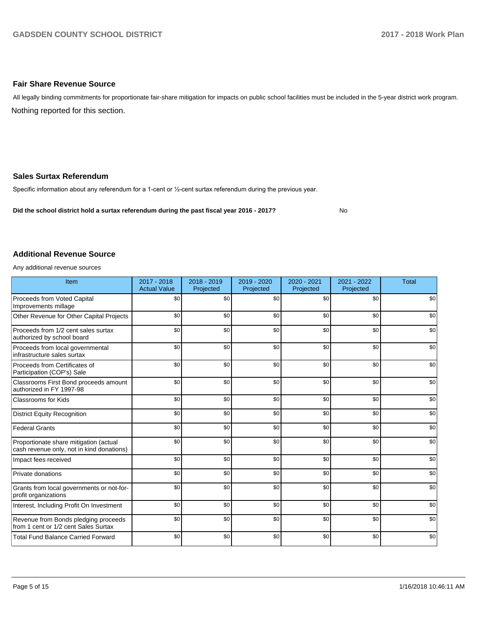### **Fair Share Revenue Source**

Nothing reported for this section. All legally binding commitments for proportionate fair-share mitigation for impacts on public school facilities must be included in the 5-year district work program.

#### **Sales Surtax Referendum**

Specific information about any referendum for a 1-cent or 1/2-cent surtax referendum during the previous year.

**Did the school district hold a surtax referendum during the past fiscal year 2016 - 2017?**

No

#### **Additional Revenue Source**

Any additional revenue sources

| Item                                                                                | $2017 - 2018$<br><b>Actual Value</b> | 2018 - 2019<br>Projected | 2019 - 2020<br>Projected | 2020 - 2021<br>Projected | 2021 - 2022<br>Projected | <b>Total</b> |
|-------------------------------------------------------------------------------------|--------------------------------------|--------------------------|--------------------------|--------------------------|--------------------------|--------------|
| Proceeds from Voted Capital<br>Improvements millage                                 | \$0                                  | \$0                      | \$0                      | \$0                      | \$0                      | \$0          |
| Other Revenue for Other Capital Projects                                            | \$0                                  | \$0                      | \$0                      | \$0                      | \$0                      | \$0          |
| Proceeds from 1/2 cent sales surtax<br>authorized by school board                   | \$0                                  | \$0                      | \$0                      | \$0                      | \$0                      | \$0          |
| Proceeds from local governmental<br>infrastructure sales surtax                     | \$0                                  | \$0                      | \$0                      | \$0                      | \$0                      | \$0          |
| Proceeds from Certificates of<br>Participation (COP's) Sale                         | \$0                                  | \$0                      | \$0                      | \$0                      | \$0                      | \$0          |
| Classrooms First Bond proceeds amount<br>authorized in FY 1997-98                   | \$0                                  | \$0                      | \$0                      | \$0                      | \$0                      | \$0          |
| <b>Classrooms for Kids</b>                                                          | \$0                                  | \$0                      | \$0                      | \$0                      | \$0                      | \$0          |
| <b>District Equity Recognition</b>                                                  | \$0                                  | \$0                      | \$0                      | \$0                      | \$0                      | \$0          |
| <b>Federal Grants</b>                                                               | \$0                                  | \$0                      | \$0                      | \$0                      | \$0                      | \$0          |
| Proportionate share mitigation (actual<br>cash revenue only, not in kind donations) | \$0                                  | \$0                      | \$0                      | \$0                      | \$0                      | \$0          |
| Impact fees received                                                                | \$0                                  | \$0                      | \$0                      | \$0                      | \$0                      | \$0          |
| Private donations                                                                   | \$0                                  | \$0                      | \$0                      | \$0                      | \$0                      | \$0          |
| Grants from local governments or not-for-<br>profit organizations                   | \$0                                  | \$0                      | \$0                      | \$0                      | \$0                      | \$0          |
| Interest, Including Profit On Investment                                            | \$0                                  | \$0                      | \$0                      | \$0                      | \$0                      | \$0          |
| Revenue from Bonds pledging proceeds<br>from 1 cent or 1/2 cent Sales Surtax        | \$0                                  | \$0                      | \$0                      | \$0                      | \$0                      | \$0          |
| <b>Total Fund Balance Carried Forward</b>                                           | \$0                                  | \$0                      | \$0                      | \$0                      | \$0                      | \$0          |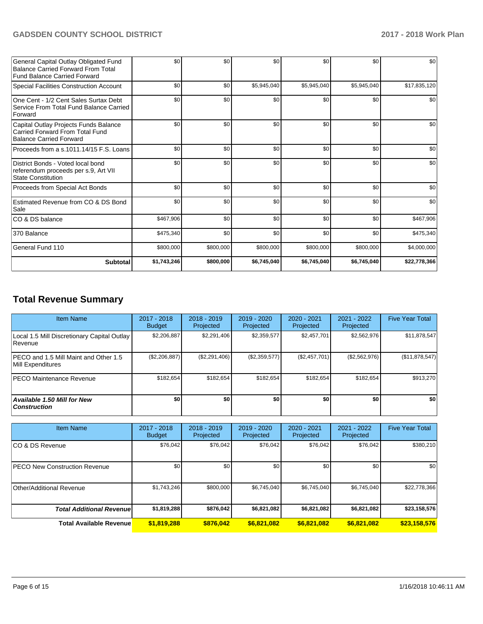| Subtotal                                                                                                                  | \$1,743,246 | \$800,000 | \$6,745,040 | \$6,745,040 | \$6,745,040 | \$22,778,366 |
|---------------------------------------------------------------------------------------------------------------------------|-------------|-----------|-------------|-------------|-------------|--------------|
| General Fund 110                                                                                                          | \$800,000   | \$800,000 | \$800,000   | \$800,000   | \$800,000   | \$4,000,000  |
| 1370 Balance                                                                                                              | \$475,340   | \$0       | \$0         | \$0         | \$0         | \$475,340    |
| ICO & DS balance                                                                                                          | \$467,906   | \$0       | \$0         | \$0         | \$0         | \$467,906    |
| Estimated Revenue from CO & DS Bond<br>Sale                                                                               | \$0         | \$0       | \$0         | \$0         | \$0         | \$0          |
| Proceeds from Special Act Bonds                                                                                           | \$0         | \$0       | \$0         | \$0         | \$0         | \$0          |
| District Bonds - Voted local bond<br>referendum proceeds per s.9, Art VII<br><b>State Constitution</b>                    | \$0         | \$0       | \$0         | \$0         | \$0         | \$0          |
| Proceeds from a s.1011.14/15 F.S. Loans                                                                                   | \$0         | \$0       | \$0         | \$0         | \$0         | \$0          |
| Capital Outlay Projects Funds Balance<br>Carried Forward From Total Fund<br><b>Balance Carried Forward</b>                | \$0         | \$0       | \$0         | \$0         | \$0         | \$0          |
| One Cent - 1/2 Cent Sales Surtax Debt<br>Service From Total Fund Balance Carried<br>Forward                               | \$0         | \$0       | \$0         | \$0         | \$0         | \$0          |
| <b>Special Facilities Construction Account</b>                                                                            | \$0         | \$0       | \$5,945,040 | \$5,945,040 | \$5,945,040 | \$17,835,120 |
| General Capital Outlay Obligated Fund<br><b>Balance Carried Forward From Total</b><br><b>Fund Balance Carried Forward</b> | \$0         | \$0       | \$0         | \$0         | \$0         | \$0          |

## **Total Revenue Summary**

| <b>Item Name</b>                                              | 2017 - 2018<br><b>Budget</b> | $2018 - 2019$<br>Projected | $2019 - 2020$<br>Projected | 2020 - 2021<br>Projected | 2021 - 2022<br>Projected | <b>Five Year Total</b> |
|---------------------------------------------------------------|------------------------------|----------------------------|----------------------------|--------------------------|--------------------------|------------------------|
| Local 1.5 Mill Discretionary Capital Outlay<br><b>Revenue</b> | \$2,206,887                  | \$2,291,406                | \$2,359,577                | \$2,457,701              | \$2,562,976              | \$11,878,547           |
| IPECO and 1.5 Mill Maint and Other 1.5<br>Mill Expenditures   | (\$2,206,887)                | (\$2,291,406)              | (\$2,359,577)              | (\$2,457,701)            | (\$2,562,976)            | (\$11,878,547)         |
| <b>PECO Maintenance Revenue</b>                               | \$182.654                    | \$182.654                  | \$182.654                  | \$182.654                | \$182.654                | \$913,270              |
| Available 1.50 Mill for New<br>  Construction                 | \$0                          | \$0                        | \$0                        | \$0                      | \$0                      | \$0                    |

| Item Name                             | $2017 - 2018$<br><b>Budget</b> | $2018 - 2019$<br>Projected | 2019 - 2020<br>Projected | $2020 - 2021$<br>Projected | $2021 - 2022$<br>Projected | <b>Five Year Total</b> |
|---------------------------------------|--------------------------------|----------------------------|--------------------------|----------------------------|----------------------------|------------------------|
| ICO & DS Revenue                      | \$76,042                       | \$76,042                   | \$76,042                 | \$76,042                   | \$76,042                   | \$380,210              |
| <b>IPECO New Construction Revenue</b> | \$0                            | \$0                        | \$0                      | \$0                        | \$0                        | \$0                    |
| Other/Additional Revenue              | \$1,743,246                    | \$800,000                  | \$6,745,040              | \$6,745,040                | \$6,745,040                | \$22,778,366           |
| <b>Total Additional Revenuel</b>      | \$1,819,288                    | \$876,042                  | \$6,821,082              | \$6,821,082                | \$6,821,082                | \$23,158,576           |
| <b>Total Available Revenue</b>        | \$1,819,288                    | \$876,042                  | \$6,821,082              | \$6,821,082                | \$6,821,082                | \$23,158,576           |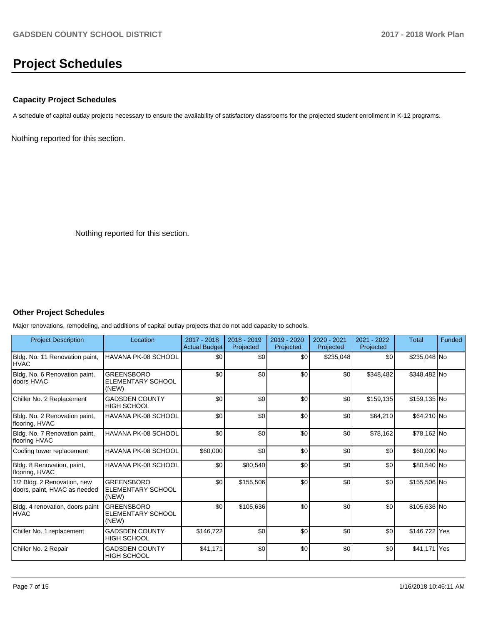# **Project Schedules**

## **Capacity Project Schedules**

A schedule of capital outlay projects necessary to ensure the availability of satisfactory classrooms for the projected student enrollment in K-12 programs.

Nothing reported for this section.

Nothing reported for this section.

## **Other Project Schedules**

Major renovations, remodeling, and additions of capital outlay projects that do not add capacity to schools.

| <b>Project Description</b>                                  | Location                                               | 2017 - 2018<br><b>Actual Budget</b> | 2018 - 2019<br>Projected | 2019 - 2020<br>Projected | 2020 - 2021<br>Projected | 2021 - 2022<br>Projected | <b>Total</b>  | Funded |
|-------------------------------------------------------------|--------------------------------------------------------|-------------------------------------|--------------------------|--------------------------|--------------------------|--------------------------|---------------|--------|
| Bldg. No. 11 Renovation paint,<br><b>IHVAC</b>              | HAVANA PK-08 SCHOOL                                    | \$0                                 | \$0                      | \$0                      | \$235,048                | \$0                      | \$235,048 No  |        |
| Bldg. No. 6 Renovation paint,<br>doors HVAC                 | <b>GREENSBORO</b><br><b>ELEMENTARY SCHOOL</b><br>(NEW) | \$0                                 | \$0                      | \$0                      | \$0                      | \$348,482                | \$348,482 No  |        |
| Chiller No. 2 Replacement                                   | <b>GADSDEN COUNTY</b><br><b>HIGH SCHOOL</b>            | \$0                                 | \$0                      | \$0                      | \$0                      | \$159,135                | \$159,135 No  |        |
| Bldg. No. 2 Renovation paint,<br>flooring, HVAC             | HAVANA PK-08 SCHOOL                                    | \$0                                 | \$0                      | \$0                      | \$0                      | \$64,210                 | \$64,210 No   |        |
| Bldg. No. 7 Renovation paint,<br>flooring HVAC              | HAVANA PK-08 SCHOOL                                    | \$0                                 | \$0                      | \$0                      | \$0                      | \$78,162                 | \$78,162 No   |        |
| Cooling tower replacement                                   | HAVANA PK-08 SCHOOL                                    | \$60,000                            | \$0                      | \$0                      | \$0                      | \$0                      | \$60,000 No   |        |
| Bldg. 8 Renovation, paint,<br>flooring, HVAC                | HAVANA PK-08 SCHOOL                                    | \$0                                 | \$80,540                 | \$0                      | \$0                      | \$0                      | \$80,540 No   |        |
| 1/2 Bldg. 2 Renovation, new<br>doors, paint, HVAC as needed | <b>GREENSBORO</b><br><b>ELEMENTARY SCHOOL</b><br>(NEW) | \$0                                 | \$155,506                | \$0                      | \$0                      | \$0                      | \$155,506 No  |        |
| Bldg. 4 renovation, doors paint<br><b>HVAC</b>              | <b>GREENSBORO</b><br><b>ELEMENTARY SCHOOL</b><br>(NEW) | \$0                                 | \$105,636                | \$0                      | \$0                      | \$0                      | \$105,636 No  |        |
| Chiller No. 1 replacement                                   | <b>GADSDEN COUNTY</b><br><b>HIGH SCHOOL</b>            | \$146,722                           | \$0                      | \$0                      | \$0                      | \$0                      | \$146,722 Yes |        |
| Chiller No. 2 Repair                                        | <b>GADSDEN COUNTY</b><br><b>HIGH SCHOOL</b>            | \$41,171                            | \$0                      | \$0                      | \$0                      | \$0                      | \$41,171 Yes  |        |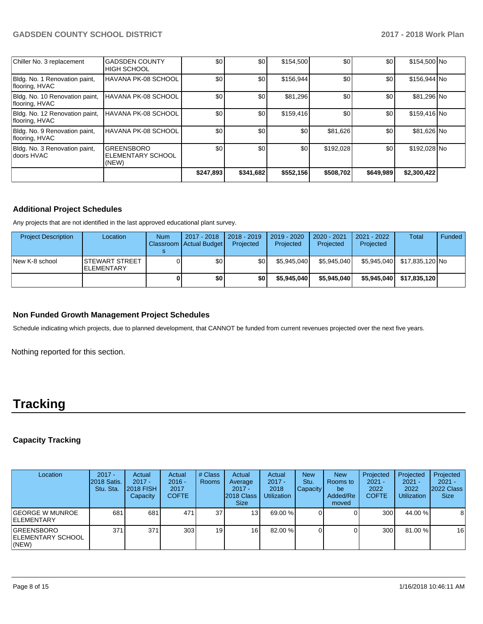| Chiller No. 3 replacement                        | <b>GADSDEN COUNTY</b><br><b>HIGH SCHOOL</b>     | \$0       | \$0       | \$154,500 | \$0       | \$0       | \$154,500 No |  |
|--------------------------------------------------|-------------------------------------------------|-----------|-----------|-----------|-----------|-----------|--------------|--|
| Bldg. No. 1 Renovation paint,<br>flooring, HVAC  | HAVANA PK-08 SCHOOL                             | \$0       | \$0       | \$156.944 | \$0       | \$0       | \$156,944 No |  |
| Bldg. No. 10 Renovation paint,<br>flooring, HVAC | HAVANA PK-08 SCHOOL                             | \$0       | \$0       | \$81,296  | \$0       | \$0       | \$81,296 No  |  |
| Bldg. No. 12 Renovation paint,<br>flooring, HVAC | HAVANA PK-08 SCHOOL                             | \$0       | \$0       | \$159,416 | \$0       | \$0       | \$159,416 No |  |
| Bldg. No. 9 Renovation paint,<br>flooring, HVAC  | HAVANA PK-08 SCHOOL                             | \$0       | \$0       | \$0       | \$81,626  | \$0       | \$81,626 No  |  |
| Bldg. No. 3 Renovation paint,<br>ldoors HVAC     | <b>GREENSBORO</b><br>ELEMENTARY SCHOOL<br>(NEW) | \$0       | \$0       | \$0       | \$192,028 | \$0       | \$192,028 No |  |
|                                                  |                                                 | \$247,893 | \$341,682 | \$552,156 | \$508,702 | \$649,989 | \$2,300,422  |  |

## **Additional Project Schedules**

Any projects that are not identified in the last approved educational plant survey.

| <b>Project Description</b> | Location                              | <b>Num</b> | 2017 - 2018<br>Classroom Actual Budget | 2018 - 2019<br>Projected | 2019 - 2020<br>Projected | $2020 - 2021$<br>Projected | 2021 - 2022<br>Projected | <b>Total</b>    | Funded |
|----------------------------|---------------------------------------|------------|----------------------------------------|--------------------------|--------------------------|----------------------------|--------------------------|-----------------|--------|
| New K-8 school             | ISTEWART STREET<br><b>IELEMENTARY</b> |            | \$0                                    | \$0                      | \$5.945.040              | \$5.945.040                | \$5.945.040              | \$17,835,120 No |        |
|                            |                                       |            | \$0                                    | \$0                      | \$5.945.040              | \$5.945.040                | \$5.945.040              | \$17,835,120    |        |

## **Non Funded Growth Management Project Schedules**

Schedule indicating which projects, due to planned development, that CANNOT be funded from current revenues projected over the next five years.

Nothing reported for this section.

# **Tracking**

## **Capacity Tracking**

| Location                                          | $2017 -$<br>2018 Satis.<br>Stu. Sta. | Actual<br>$2017 -$<br><b>2018 FISH</b><br>Capacity | Actual<br>$2016 -$<br>2017<br><b>COFTE</b> | # Class<br>Rooms | Actual<br>Average<br>$2017 -$<br>2018 Class<br><b>Size</b> | Actual<br>$2017 -$<br>2018<br><b>Utilization</b> | <b>New</b><br>Stu.<br>Capacity | <b>New</b><br>Rooms to<br>be<br>Added/Re<br>moved | Projected<br>$2021 -$<br>2022<br><b>COFTE</b> | Projected<br>$2021 -$<br>2022<br><b>Utilization</b> | Projected<br>$2021 -$<br>2022 Class<br><b>Size</b> |
|---------------------------------------------------|--------------------------------------|----------------------------------------------------|--------------------------------------------|------------------|------------------------------------------------------------|--------------------------------------------------|--------------------------------|---------------------------------------------------|-----------------------------------------------|-----------------------------------------------------|----------------------------------------------------|
| IGEORGE W MUNROE<br><b>IELEMENTARY</b>            | 681                                  | 681                                                | 471                                        | 37               | 13 <sub>l</sub>                                            | 69.00 %                                          |                                |                                                   | 300 <sub>1</sub>                              | 44.00 %                                             | 8                                                  |
| <b>IGREENSBORO</b><br>IELEMENTARY SCHOOL<br>(NEW) | 371                                  | 371                                                | 303                                        | 19               | 16                                                         | 82.00 %                                          |                                |                                                   | 300                                           | 81.00 %                                             | 16                                                 |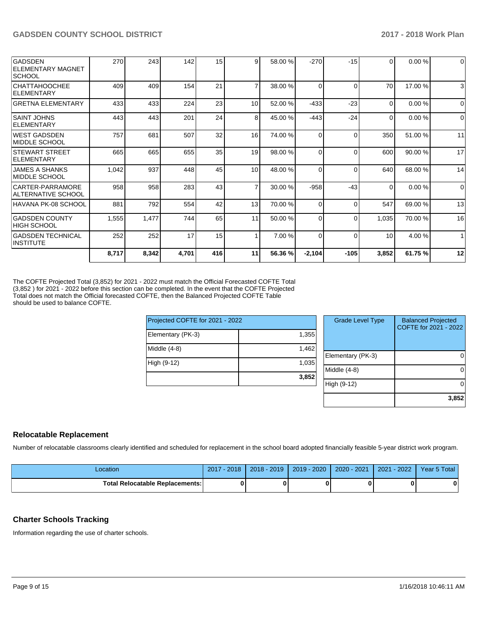| <b>GADSDEN</b><br> ELEMENTARY MAGNET<br><b>SCHOOL</b> | 270   | 243   | 142   | 15              | 9              | 58.00 % | $-270$       | $-15$    | 0        | 0.00%   | $\mathbf 0$  |
|-------------------------------------------------------|-------|-------|-------|-----------------|----------------|---------|--------------|----------|----------|---------|--------------|
| CHATTAHOOCHEE<br><b>IELEMENTARY</b>                   | 409   | 409   | 154   | 21              | $\overline{ }$ | 38.00 % | <sup>0</sup> | $\Omega$ | 70       | 17.00 % | 3            |
| <b>GRETNA ELEMENTARY</b>                              | 433   | 433   | 224   | 23              | 10             | 52.00 % | $-433$       | $-23$    | $\Omega$ | 0.00%   | $\Omega$     |
| ISAINT JOHNS<br>ELEMENTARY                            | 443   | 443   | 201   | 24              | 8              | 45.00 % | $-443$       | $-24$    | 0        | 0.00%   | $\Omega$     |
| WEST GADSDEN<br><b>IMIDDLE SCHOOL</b>                 | 757   | 681   | 507   | 32              | 16             | 74.00 % | 0            | $\Omega$ | 350      | 51.00 % | 11           |
| <b>ISTEWART STREET</b><br><b>IELEMENTARY</b>          | 665   | 665   | 655   | 35              | 19             | 98.00 % | 0            | $\Omega$ | 600      | 90.00 % | 17           |
| <b>JAMES A SHANKS</b><br>IMIDDLE SCHOOL               | 1,042 | 937   | 448   | 45              | 10             | 48.00 % | $\Omega$     | $\Omega$ | 640      | 68.00 % | 14           |
| CARTER-PARRAMORE<br> ALTERNATIVE SCHOOL               | 958   | 958   | 283   | 43 <sub>l</sub> | $\overline{7}$ | 30.00 % | $-958$       | $-43$    | $\Omega$ | 0.00%   | $\mathbf 0$  |
| HAVANA PK-08 SCHOOL                                   | 881   | 792   | 554   | 42              | 13             | 70.00 % | 0            | $\Omega$ | 547      | 69.00 % | 13           |
| <b>GADSDEN COUNTY</b><br> HIGH SCHOOL                 | 1,555 | 1,477 | 744   | 65              | 11             | 50.00 % | 0            | $\Omega$ | 1,035    | 70.00 % | 16           |
| <b>GADSDEN TECHNICAL</b><br>IINSTITUTE                | 252   | 252   | 17    | 15              |                | 7.00 %  | $\Omega$     | $\Omega$ | 10       | 4.00 %  | $\mathbf{1}$ |
|                                                       | 8,717 | 8,342 | 4,701 | 416             | 11             | 56.36 % | $-2,104$     | $-105$   | 3,852    | 61.75 % | 12           |

The COFTE Projected Total (3,852) for 2021 - 2022 must match the Official Forecasted COFTE Total (3,852 ) for 2021 - 2022 before this section can be completed. In the event that the COFTE Projected Total does not match the Official forecasted COFTE, then the Balanced Projected COFTE Table should be used to balance COFTE.

| Projected COFTE for 2021 - 2022 |       |     |
|---------------------------------|-------|-----|
| Elementary (PK-3)               | 1,355 |     |
| Middle $(4-8)$                  | 1,462 | Ele |
| High (9-12)                     | 1,035 | Mic |
|                                 | 3,852 | Hig |

| <b>Grade Level Type</b> | <b>Balanced Projected</b><br>COFTE for 2021 - 2022 |
|-------------------------|----------------------------------------------------|
| Elementary (PK-3)       |                                                    |
| Middle $(4-8)$          |                                                    |
| High (9-12)             |                                                    |
|                         | 3,852                                              |

## **Relocatable Replacement**

Number of relocatable classrooms clearly identified and scheduled for replacement in the school board adopted financially feasible 5-year district work program.

| Location                               | $-2018$<br>2017 | $2018 - 2019$ | $2019 - 2020$ | 2020 - 2021 | $-2022$<br>2021 | Year 5 Total |
|----------------------------------------|-----------------|---------------|---------------|-------------|-----------------|--------------|
| <b>Total Relocatable Replacements:</b> |                 |               |               |             |                 | 0            |

## **Charter Schools Tracking**

Information regarding the use of charter schools.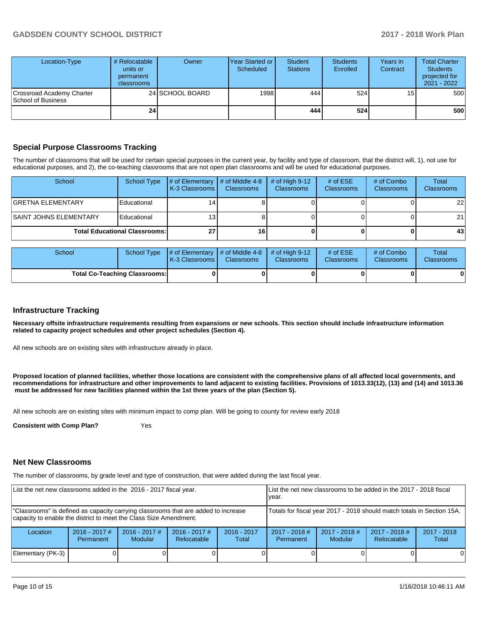| Location-Type                                   | # Relocatable<br>units or<br>permanent<br>classrooms | Owner           | <b>Year Started or I</b><br>Scheduled | <b>Student</b><br><b>Stations</b> | <b>Students</b><br>Enrolled | Years in<br>Contract | <b>Total Charter</b><br><b>Students</b><br>projected for<br>2021 - 2022 |
|-------------------------------------------------|------------------------------------------------------|-----------------|---------------------------------------|-----------------------------------|-----------------------------|----------------------|-------------------------------------------------------------------------|
| Crossroad Academy Charter<br>School of Business |                                                      | 24 SCHOOL BOARD | 1998                                  | 444                               | 524                         | 15                   | 500                                                                     |
|                                                 | 24                                                   |                 |                                       | 444                               | 524                         |                      | 500                                                                     |

## **Special Purpose Classrooms Tracking**

The number of classrooms that will be used for certain special purposes in the current year, by facility and type of classroom, that the district will, 1), not use for educational purposes, and 2), the co-teaching classrooms that are not open plan classrooms and will be used for educational purposes.

| School                         | School Type                          | # of Elementary<br><b>K-3 Classrooms</b> | $\#$ of Middle 4-8<br><b>Classrooms</b> | # of High $9-12$<br><b>Classrooms</b> | # of $ESE$<br>Classrooms | # of Combo<br><b>Classrooms</b> | Total<br><b>Classrooms</b> |
|--------------------------------|--------------------------------------|------------------------------------------|-----------------------------------------|---------------------------------------|--------------------------|---------------------------------|----------------------------|
| <b>GRETNA ELEMENTARY</b>       | Educational                          |                                          |                                         |                                       |                          |                                 | 22                         |
| <b>ISAINT JOHNS ELEMENTARY</b> | Educational                          |                                          |                                         |                                       |                          |                                 | 21                         |
|                                | <b>Total Educational Classrooms:</b> | クフ                                       | 16                                      |                                       |                          |                                 | 43                         |

| <b>School</b>                        |  | School Type $\frac{1}{4}$ of Elementary $\frac{1}{4}$ of Middle 4-8 $\frac{1}{4}$ of High 9-12<br><b>K-3 Classrooms</b> | <b>Classrooms</b> | <b>Classrooms</b> | # of $ESE$<br><b>Classrooms</b> | # of Combo<br><b>Classrooms</b> | Total<br><b>Classrooms</b> |
|--------------------------------------|--|-------------------------------------------------------------------------------------------------------------------------|-------------------|-------------------|---------------------------------|---------------------------------|----------------------------|
| <b>Total Co-Teaching Classrooms:</b> |  |                                                                                                                         |                   |                   |                                 | 01                              |                            |

#### **Infrastructure Tracking**

**Necessary offsite infrastructure requirements resulting from expansions or new schools. This section should include infrastructure information related to capacity project schedules and other project schedules (Section 4).** 

All new schools are on existing sites with infrastructure already in place.

**Proposed location of planned facilities, whether those locations are consistent with the comprehensive plans of all affected local governments, and recommendations for infrastructure and other improvements to land adjacent to existing facilities. Provisions of 1013.33(12), (13) and (14) and 1013.36** must be addressed for new facilities planned within the 1st three years of the plan (Section 5).

All new schools are on existing sites with minimum impact to comp plan. Will be going to county for review early 2018

**Consistent with Comp Plan?** Yes

#### **Net New Classrooms**

The number of classrooms, by grade level and type of construction, that were added during the last fiscal year.

| List the net new classrooms added in the 2016 - 2017 fiscal year.                                                                                       |                                     |                            |                                | List the net new classrooms to be added in the 2017 - 2018 fiscal<br>year. |                              |                            |                                |                        |
|---------------------------------------------------------------------------------------------------------------------------------------------------------|-------------------------------------|----------------------------|--------------------------------|----------------------------------------------------------------------------|------------------------------|----------------------------|--------------------------------|------------------------|
| "Classrooms" is defined as capacity carrying classrooms that are added to increase<br>capacity to enable the district to meet the Class Size Amendment. |                                     |                            |                                | Totals for fiscal year 2017 - 2018 should match totals in Section 15A.     |                              |                            |                                |                        |
| Location                                                                                                                                                | $2016 - 2017$ #<br><b>Permanent</b> | $2016 - 2017$ #<br>Modular | $2016 - 2017$ #<br>Relocatable | $2016 - 2017$<br>Total                                                     | $2017 - 2018$ #<br>Permanent | $2017 - 2018$ #<br>Modular | $2017 - 2018$ #<br>Relocatable | $2017 - 2018$<br>Total |
| Elementary (PK-3)                                                                                                                                       |                                     |                            |                                |                                                                            |                              |                            |                                | $\Omega$               |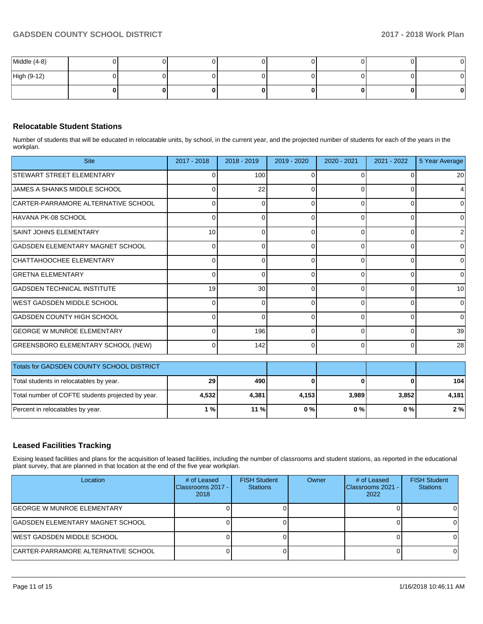| Middle (4-8) |  |  |  |  |
|--------------|--|--|--|--|
| High (9-12)  |  |  |  |  |
|              |  |  |  |  |

## **Relocatable Student Stations**

Number of students that will be educated in relocatable units, by school, in the current year, and the projected number of students for each of the years in the workplan.

| <b>Site</b>                                       | 2017 - 2018 | $2018 - 2019$ | 2019 - 2020 | 2020 - 2021 | 2021 - 2022 | 5 Year Average |
|---------------------------------------------------|-------------|---------------|-------------|-------------|-------------|----------------|
| <b>STEWART STREET ELEMENTARY</b>                  | 0           | 100           | 0           | $\Omega$    |             | 20             |
| JAMES A SHANKS MIDDLE SCHOOL                      | $\Omega$    | 22            | $\Omega$    | $\Omega$    |             | 4              |
| CARTER-PARRAMORE ALTERNATIVE SCHOOL               | $\Omega$    | $\Omega$      | $\Omega$    | $\Omega$    | 0           | $\overline{0}$ |
| HAVANA PK-08 SCHOOL                               | $\Omega$    | 0             | $\Omega$    | $\Omega$    | $\Omega$    | $\overline{0}$ |
| SAINT JOHNS ELEMENTARY                            | 10          | 0             | $\Omega$    | $\Omega$    | 0           | 2              |
| GADSDEN ELEMENTARY MAGNET SCHOOL                  | $\Omega$    | 0             | 0           | $\Omega$    | 0           | 0              |
| CHATTAHOOCHEE ELEMENTARY                          | $\Omega$    | 0             | 0           | $\Omega$    | 0           | $\overline{0}$ |
| <b>GRETNA ELEMENTARY</b>                          | 0           | 0             | $\Omega$    | $\Omega$    | 0           | $\overline{0}$ |
| GADSDEN TECHNICAL INSTITUTE                       | 19          | 30            | $\Omega$    | $\Omega$    | $\Omega$    | 10             |
| <b>WEST GADSDEN MIDDLE SCHOOL</b>                 | O           | ∩             | 0           | $\Omega$    | $\Omega$    | $\Omega$       |
| GADSDEN COUNTY HIGH SCHOOL                        |             | ∩             | $\Omega$    | $\Omega$    | $\Omega$    | $\Omega$       |
| <b>GEORGE W MUNROE ELEMENTARY</b>                 | O           | 196           | $\Omega$    | $\Omega$    | $\Omega$    | 39             |
| <b>GREENSBORO ELEMENTARY SCHOOL (NEW)</b>         | 0           | 142           | $\Omega$    | $\Omega$    | $\Omega$    | 28             |
| <b>Totals for GADSDEN COUNTY SCHOOL DISTRICT</b>  |             |               |             |             |             |                |
|                                                   |             |               |             |             |             |                |
| Total students in relocatables by year.           | 29          | 490           | 0           | C           |             | 104            |
| Total number of COFTE students projected by year. | 4,532       | 4,381         | 4,153       | 3,989       | 3,852       | 4,181          |
| Percent in relocatables by year.                  | 1%          | 11 %          | 0%          | 0%          | 0%          | 2%             |

## **Leased Facilities Tracking**

Exising leased facilities and plans for the acquisition of leased facilities, including the number of classrooms and student stations, as reported in the educational plant survey, that are planned in that location at the end of the five year workplan.

| Location                            | # of Leased<br>Classrooms 2017 -<br>2018 | <b>FISH Student</b><br><b>Stations</b> | Owner | # of Leased<br>Classrooms 2021 -<br>2022 | <b>FISH Student</b><br><b>Stations</b> |
|-------------------------------------|------------------------------------------|----------------------------------------|-------|------------------------------------------|----------------------------------------|
| IGEORGE W MUNROE ELEMENTARY         |                                          |                                        |       |                                          |                                        |
| GADSDEN ELEMENTARY MAGNET SCHOOL    |                                          |                                        |       |                                          |                                        |
| IWEST GADSDEN MIDDLE SCHOOL         |                                          |                                        |       |                                          |                                        |
| CARTER-PARRAMORE ALTERNATIVE SCHOOL |                                          |                                        |       |                                          |                                        |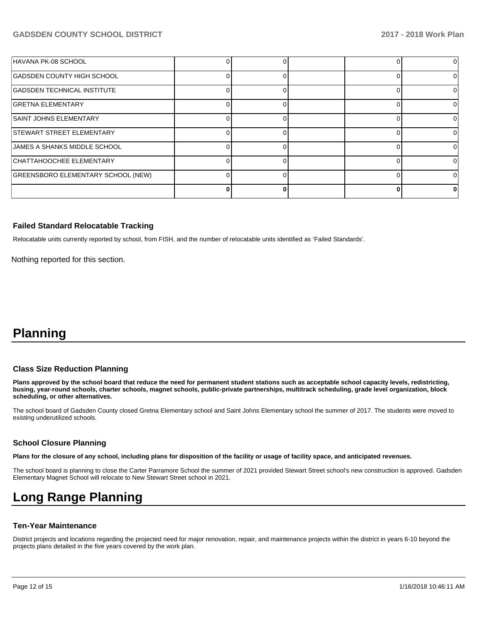| HAVANA PK-08 SCHOOL                       |  |  |  |
|-------------------------------------------|--|--|--|
| GADSDEN COUNTY HIGH SCHOOL                |  |  |  |
| GADSDEN TECHNICAL INSTITUTE               |  |  |  |
| <b>GRETNA ELEMENTARY</b>                  |  |  |  |
| <b>SAINT JOHNS ELEMENTARY</b>             |  |  |  |
| <b>STEWART STREET ELEMENTARY</b>          |  |  |  |
| <b>IJAMES A SHANKS MIDDLE SCHOOL</b>      |  |  |  |
| CHATTAHOOCHEE ELEMENTARY                  |  |  |  |
| <b>GREENSBORO ELEMENTARY SCHOOL (NEW)</b> |  |  |  |
|                                           |  |  |  |

#### **Failed Standard Relocatable Tracking**

Relocatable units currently reported by school, from FISH, and the number of relocatable units identified as 'Failed Standards'.

Nothing reported for this section.

## **Planning**

#### **Class Size Reduction Planning**

**Plans approved by the school board that reduce the need for permanent student stations such as acceptable school capacity levels, redistricting, busing, year-round schools, charter schools, magnet schools, public-private partnerships, multitrack scheduling, grade level organization, block scheduling, or other alternatives.**

The school board of Gadsden County closed Gretna Elementary school and Saint Johns Elementary school the summer of 2017. The students were moved to existing underutilized schools.

#### **School Closure Planning**

**Plans for the closure of any school, including plans for disposition of the facility or usage of facility space, and anticipated revenues.** 

The school board is planning to close the Carter Parramore School the summer of 2021 provided Stewart Street school's new construction is approved. Gadsden Elementary Magnet School will relocate to New Stewart Street school in 2021.

# **Long Range Planning**

#### **Ten-Year Maintenance**

District projects and locations regarding the projected need for major renovation, repair, and maintenance projects within the district in years 6-10 beyond the projects plans detailed in the five years covered by the work plan.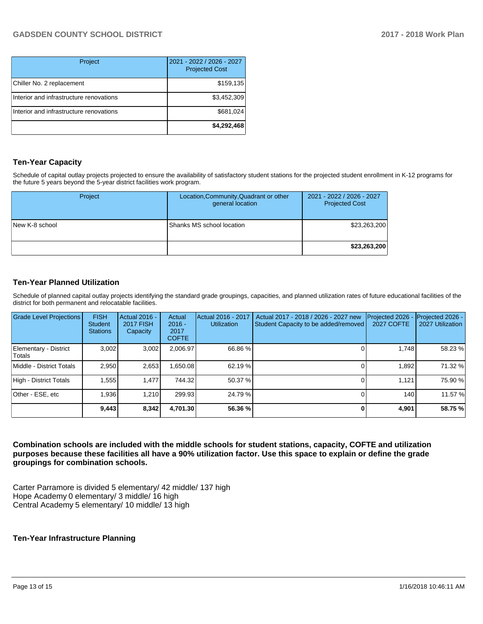| Project                                 | 2021 - 2022 / 2026 - 2027<br><b>Projected Cost</b> |
|-----------------------------------------|----------------------------------------------------|
| Chiller No. 2 replacement               | \$159,135                                          |
| Interior and infrastructure renovations | \$3,452,309                                        |
| Interior and infrastructure renovations | \$681,024                                          |
|                                         | \$4,292,468                                        |

## **Ten-Year Capacity**

Schedule of capital outlay projects projected to ensure the availability of satisfactory student stations for the projected student enrollment in K-12 programs for the future 5 years beyond the 5-year district facilities work program.

| Project        | Location, Community, Quadrant or other<br>general location | 2021 - 2022 / 2026 - 2027<br><b>Projected Cost</b> |
|----------------|------------------------------------------------------------|----------------------------------------------------|
| New K-8 school | Shanks MS school location                                  | \$23,263,200                                       |
|                |                                                            | \$23,263,200                                       |

## **Ten-Year Planned Utilization**

Schedule of planned capital outlay projects identifying the standard grade groupings, capacities, and planned utilization rates of future educational facilities of the district for both permanent and relocatable facilities.

| <b>Grade Level Projections</b>         | <b>FISH</b><br><b>Student</b><br><b>Stations</b> | <b>Actual 2016 -</b><br><b>2017 FISH</b><br>Capacity | Actual<br>$2016 -$<br>2017<br><b>COFTE</b> | Actual 2016 - 2017<br><b>Utilization</b> | Actual 2017 - 2018 / 2026 - 2027 new<br>Student Capacity to be added/removed | Projected 2026<br><b>2027 COFTE</b> | Projected 2026 -<br>2027 Utilization |
|----------------------------------------|--------------------------------------------------|------------------------------------------------------|--------------------------------------------|------------------------------------------|------------------------------------------------------------------------------|-------------------------------------|--------------------------------------|
| Elementary - District<br><b>Totals</b> | 3.002                                            | 3,002                                                | 2,006.97                                   | 66.86 %                                  |                                                                              | 1.748                               | 58.23 %                              |
| Middle - District Totals               | 2.950                                            | 2,653                                                | .650.08                                    | 62.19 %                                  |                                                                              | 1.892                               | 71.32 %                              |
| High - District Totals                 | .555                                             | 1.477                                                | 744.32                                     | 50.37 %                                  |                                                                              | 1.121                               | 75.90 %                              |
| Other - ESE, etc                       | .936                                             | 1.210                                                | 299.93                                     | 24.79 %                                  |                                                                              | 140                                 | 11.57 %                              |
|                                        | 9,443                                            | 8,342                                                | 4,701.30                                   | 56.36 %                                  |                                                                              | 4,901                               | 58.75 %                              |

**Combination schools are included with the middle schools for student stations, capacity, COFTE and utilization purposes because these facilities all have a 90% utilization factor. Use this space to explain or define the grade groupings for combination schools.** 

Carter Parramore is divided 5 elementary/ 42 middle/ 137 high Hope Academy 0 elementary/ 3 middle/ 16 high Central Academy 5 elementary/ 10 middle/ 13 high

## **Ten-Year Infrastructure Planning**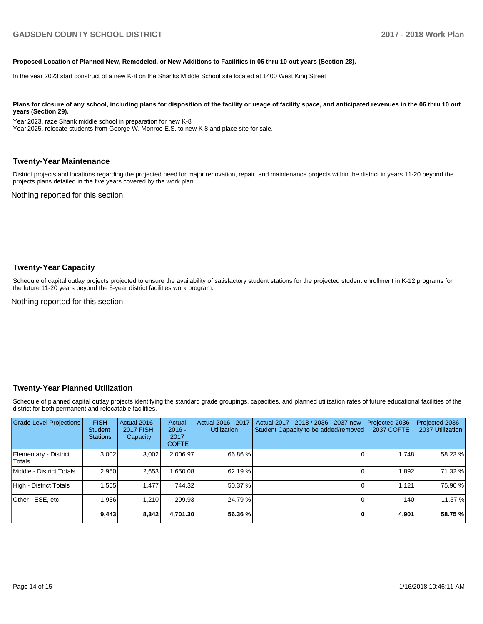#### **Proposed Location of Planned New, Remodeled, or New Additions to Facilities in 06 thru 10 out years (Section 28).**

In the year 2023 start construct of a new K-8 on the Shanks Middle School site located at 1400 West King Street

Plans for closure of any school, including plans for disposition of the facility or usage of facility space, and anticipated revenues in the 06 thru 10 out **years (Section 29).**

Year 2023, raze Shank middle school in preparation for new K-8 Year 2025, relocate students from George W. Monroe E.S. to new K-8 and place site for sale.

#### **Twenty-Year Maintenance**

District projects and locations regarding the projected need for major renovation, repair, and maintenance projects within the district in years 11-20 beyond the projects plans detailed in the five years covered by the work plan.

Nothing reported for this section.

#### **Twenty-Year Capacity**

Schedule of capital outlay projects projected to ensure the availability of satisfactory student stations for the projected student enrollment in K-12 programs for the future 11-20 years beyond the 5-year district facilities work program.

Nothing reported for this section.

#### **Twenty-Year Planned Utilization**

Schedule of planned capital outlay projects identifying the standard grade groupings, capacities, and planned utilization rates of future educational facilities of the district for both permanent and relocatable facilities.

| <b>Grade Level Projections</b>  | <b>FISH</b><br><b>Student</b><br><b>Stations</b> | Actual 2016 -<br><b>2017 FISH</b><br>Capacity | Actual<br>$2016 -$<br>2017<br><b>COFTE</b> | Actual 2016 - 2017<br><b>Utilization</b> | Actual 2017 - 2018 / 2036 - 2037 new<br>Student Capacity to be added/removed | Projected 2036<br><b>2037 COFTE</b> | Projected 2036 -<br>2037 Utilization |
|---------------------------------|--------------------------------------------------|-----------------------------------------------|--------------------------------------------|------------------------------------------|------------------------------------------------------------------------------|-------------------------------------|--------------------------------------|
| Elementary - District<br>Totals | 3.002                                            | 3,002                                         | 2,006.97                                   | 66.86 %                                  |                                                                              | 1.748                               | 58.23 %                              |
| Middle - District Totals        | 2.950                                            | 2,653                                         | .650.08                                    | 62.19 %                                  |                                                                              | 1.892                               | 71.32 %                              |
| High - District Totals          | 1.555                                            | 1.477                                         | 744.32                                     | 50.37 %                                  |                                                                              | 1.121                               | 75.90 %                              |
| Other - ESE, etc                | 1.936                                            | 1.210                                         | 299.93                                     | 24.79 %                                  |                                                                              | 140                                 | 11.57 %                              |
|                                 | 9,443                                            | 8,342                                         | 4.701.30                                   | 56.36 %                                  |                                                                              | 4,901                               | 58.75 %                              |